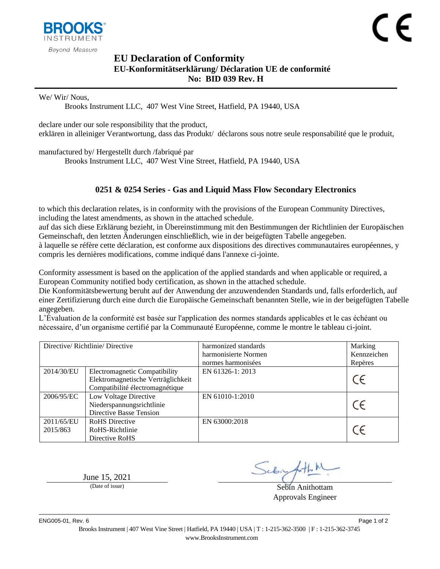

## <span id="page-0-1"></span><span id="page-0-0"></span>**EU Declaration of Conformity EU-Konformitätserklärung/ Déclaration UE de conformité No: BID 039 Rev. H**

We/ Wir/ Nous,

Brooks Instrument LLC, 407 West Vine Street, Hatfield, PA 19440, USA

declare under our sole responsibility that the product, erklären in alleiniger Verantwortung, dass das Produkt/ déclarons sous notre seule responsabilité que le produit,

manufactured by/ Hergestellt durch /fabriqué par

Brooks Instrument LLC, 407 West Vine Street, Hatfield, PA 19440, USA

## <span id="page-0-2"></span>**0251 & 0254 Series - Gas and Liquid Mass Flow Secondary Electronics**

to which this declaration relates, is in conformity with the provisions of the European Community Directives, including the latest amendments, as shown in the attached schedule.

auf das sich diese Erklärung bezieht, in Übereinstimmung mit den Bestimmungen der Richtlinien der Europäischen Gemeinschaft, den letzten Änderungen einschließlich, wie in der beigefügten Tabelle angegeben.

à laquelle se réfère cette déclaration, est conforme aux dispositions des directives communautaires européennes, y compris les dernières modifications, comme indiqué dans l'annexe ci-jointe.

Conformity assessment is based on the application of the applied standards and when applicable or required, a European Community notified body certification, as shown in the attached schedule.

Die Konformitätsbewertung beruht auf der Anwendung der anzuwendenden Standards und, falls erforderlich, auf einer Zertifizierung durch eine durch die Europäische Gemeinschaft benannten Stelle, wie in der beigefügten Tabelle angegeben.

L'Évaluation de la conformité est basée sur l'application des normes standards applicables et le cas échéant ou nécessaire, d'un organisme certifié par la Communauté Européenne, comme le montre le tableau ci-joint.

| Directive/Richtlinie/Directive |                                                                                                               | harmonized standards<br>harmonisierte Normen<br>normes harmonisées | Marking<br>Kennzeichen<br>Repères |
|--------------------------------|---------------------------------------------------------------------------------------------------------------|--------------------------------------------------------------------|-----------------------------------|
| 2014/30/EU                     | <b>Electromagnetic Compatibility</b><br>Elektromagnetische Verträglichkeit<br>Compatibilité électromagnétique | EN 61326-1: 2013                                                   |                                   |
| 2006/95/EC                     | Low Voltage Directive<br>Niederspannungsrichtlinie<br>Directive Basse Tension                                 | EN 61010-1:2010                                                    |                                   |
| 2011/65/EU<br>2015/863         | <b>RoHS</b> Directive<br>RoHS-Richtlinie<br>Directive RoHS                                                    | EN 63000:2018                                                      |                                   |

June  $15, 2021$ <br>(Date of issue)

Sebin Anithottam Approvals Engineer